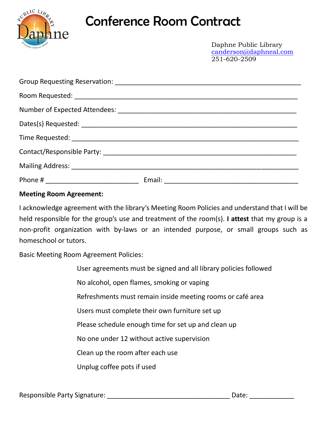

## Conference Room Contract

Daphne Public Library [canderson@daphneal.com](mailto:canderson@daphneal.com) 251-620-2509

## **Meeting Room Agreement:**

I acknowledge agreement with the library's Meeting Room Policies and understand that I will be held responsible for the group's use and treatment of the room(s). **I attest** that my group is a non-profit organization with by-laws or an intended purpose, or small groups such as homeschool or tutors.

Basic Meeting Room Agreement Policies:

User agreements must be signed and all library policies followed No alcohol, open flames, smoking or vaping Refreshments must remain inside meeting rooms or café area Users must complete their own furniture set up Please schedule enough time for set up and clean up No one under 12 without active supervision Clean up the room after each use Unplug coffee pots if used